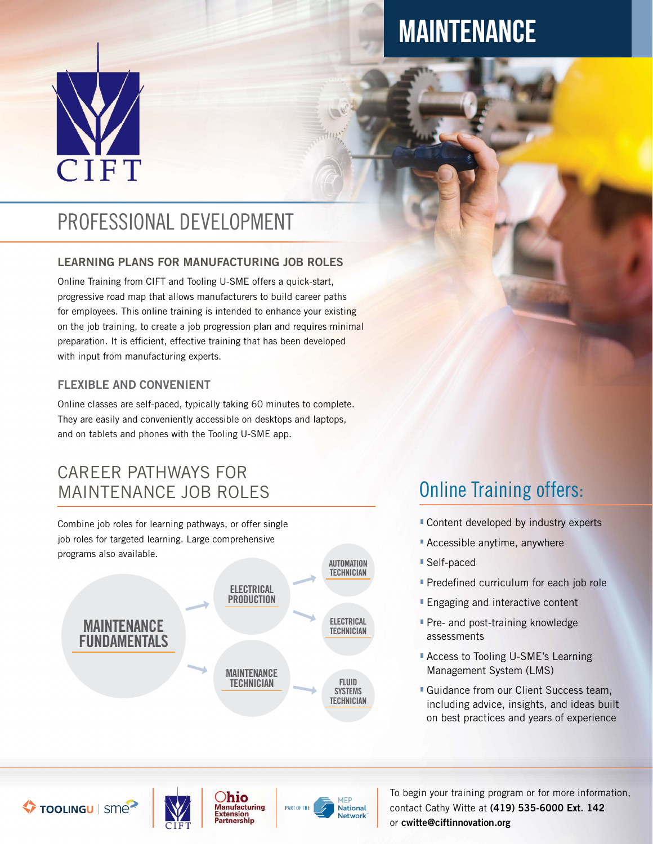

# MAINTENANCE

# PROFESSIONAL DEVELOPMENT

#### LEARNING PLANS FOR MANUFACTURING JOB ROLES

Online Training from CIFT and Tooling U-SME offers a quick-start, progressive road map that allows manufacturers to build career paths for employees. This online training is intended to enhance your existing on the job training, to create a job progression plan and requires minimal preparation. It is efficient, effective training that has been developed with input from manufacturing experts.

#### FLEXIBLE AND CONVENIENT

Online classes are self-paced, typically taking 60 minutes to complete. They are easily and conveniently accessible on desktops and laptops, and on tablets and phones with the Tooling U-SME app.

#### CAREER PATHWAYS FOR MAINTENANCE JOB ROLES

Combine job roles for learning pathways, or offer single job roles for targeted learning. Large comprehensive programs also available.



# Online Training offers:

- Content developed by industry experts
- **Accessible anytime, anywhere**
- Self-paced
- **Predefined curriculum for each job role**
- **Engaging and interactive content**
- **Pre- and post-training knowledge** assessments
- **Access to Tooling U-SME's Learning** Management System (LMS)
- **Guidance from our Client Success team,** including advice, insights, and ideas built on best practices and years of experience

TOOLINGU | SME



Ohio **Manufacturing Extension** artnership



To begin your training program or for more information, contact Cathy Witte at (419) 535-6000 Ext. 142 or cwitte@ciftinnovation.org